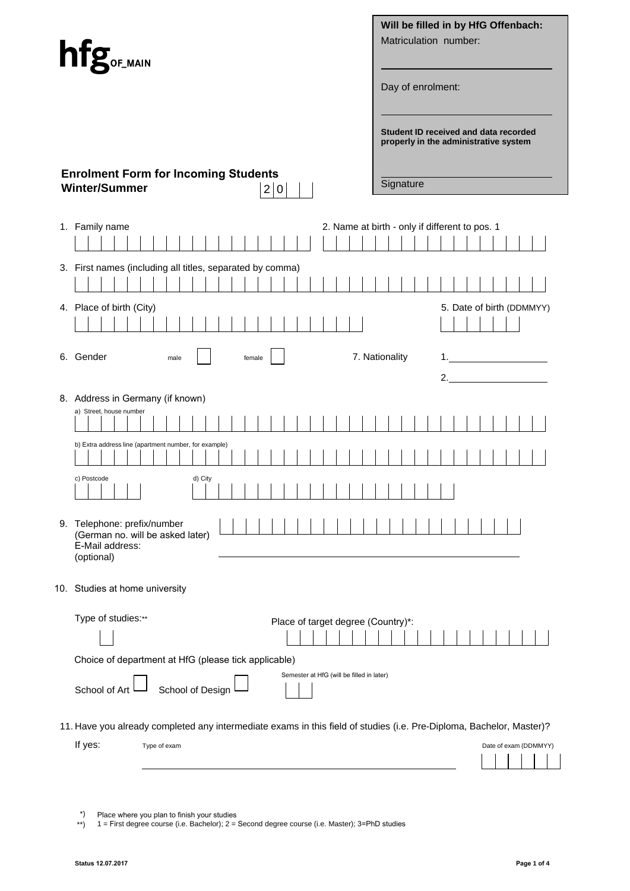| hfg <sub>or_main</sub>                                                                                                                          | Will be filled in by HfG Offenbach:<br>Matriculation number:<br>Day of enrolment:           |  |  |  |  |  |  |
|-------------------------------------------------------------------------------------------------------------------------------------------------|---------------------------------------------------------------------------------------------|--|--|--|--|--|--|
| <b>Enrolment Form for Incoming Students</b><br><b>Winter/Summer</b><br>2 0                                                                      | Student ID received and data recorded<br>properly in the administrative system<br>Signature |  |  |  |  |  |  |
| 1. Family name                                                                                                                                  | 2. Name at birth - only if different to pos. 1                                              |  |  |  |  |  |  |
| 3. First names (including all titles, separated by comma)<br>4. Place of birth (City)                                                           | 5. Date of birth (DDMMYY)                                                                   |  |  |  |  |  |  |
| 6. Gender<br>male<br>female                                                                                                                     | 7. Nationality<br>1.                                                                        |  |  |  |  |  |  |
| 8. Address in Germany (if known)<br>a) Street, house number                                                                                     |                                                                                             |  |  |  |  |  |  |
| b) Extra address line (apartment number, for example)                                                                                           |                                                                                             |  |  |  |  |  |  |
| c) Postcode<br>d) City<br>,,,,,,,,,,,,,,,,,,,<br>.<br>$\mathbf{I}$                                                                              |                                                                                             |  |  |  |  |  |  |
| 9. Telephone: prefix/number<br>(German no. will be asked later)<br>E-Mail address:<br>(optional)                                                |                                                                                             |  |  |  |  |  |  |
| 10. Studies at home university                                                                                                                  |                                                                                             |  |  |  |  |  |  |
| Type of studies:**<br>Place of target degree (Country)*:<br>Choice of department at HfG (please tick applicable)                                |                                                                                             |  |  |  |  |  |  |
| Semester at HfG (will be filled in later)<br>School of Design<br>School of Art                                                                  |                                                                                             |  |  |  |  |  |  |
| 11. Have you already completed any intermediate exams in this field of studies (i.e. Pre-Diploma, Bachelor, Master)?<br>If yes:<br>Type of exam | Date of exam (DDMMYY)                                                                       |  |  |  |  |  |  |

<sup>\*)</sup> Place where you plan to finish your studies

<sup>\*\*)</sup>  1 = First degree course (i.e. Bachelor); 2 = Second degree course (i.e. Master); 3=PhD studies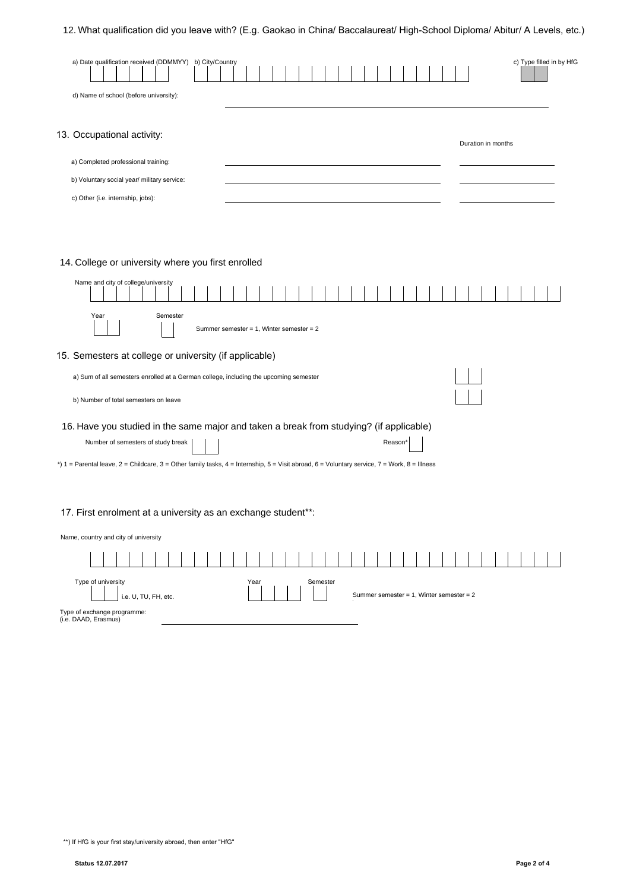# 12. What qualification did you leave with? (E.g. Gaokao in China/ Baccalaureat/ High-School Diploma/ Abitur/ A Levels, etc.)

| a) Date qualification received (DDMMYY) b) City/Country |  |  |  |  |  |  |  |  |  |                    | c) Type filled in by HfG |  |
|---------------------------------------------------------|--|--|--|--|--|--|--|--|--|--------------------|--------------------------|--|
| d) Name of school (before university):                  |  |  |  |  |  |  |  |  |  |                    |                          |  |
| 13. Occupational activity:                              |  |  |  |  |  |  |  |  |  |                    |                          |  |
| a) Completed professional training:                     |  |  |  |  |  |  |  |  |  | Duration in months |                          |  |
| b) Voluntary social year/ military service:             |  |  |  |  |  |  |  |  |  |                    |                          |  |
| c) Other (i.e. internship, jobs):                       |  |  |  |  |  |  |  |  |  |                    |                          |  |
|                                                         |  |  |  |  |  |  |  |  |  |                    |                          |  |
| 14. College or university where you first enrolled      |  |  |  |  |  |  |  |  |  |                    |                          |  |
| Name and city of college/university                     |  |  |  |  |  |  |  |  |  |                    |                          |  |

| Semester<br>Year<br>Summer semester = 1, Winter semester = 2                                                                                                                                                                                                                                         |  |  |  |  |  |  |  |  |  |
|------------------------------------------------------------------------------------------------------------------------------------------------------------------------------------------------------------------------------------------------------------------------------------------------------|--|--|--|--|--|--|--|--|--|
| 15. Semesters at college or university (if applicable)                                                                                                                                                                                                                                               |  |  |  |  |  |  |  |  |  |
| a) Sum of all semesters enrolled at a German college, including the upcoming semester                                                                                                                                                                                                                |  |  |  |  |  |  |  |  |  |
| b) Number of total semesters on leave                                                                                                                                                                                                                                                                |  |  |  |  |  |  |  |  |  |
| 16. Have you studied in the same major and taken a break from studying? (if applicable)<br>Number of semesters of study break<br>Reason <sup>®</sup><br>*) 1 = Parental leave, 2 = Childcare, 3 = Other family tasks, 4 = Internship, 5 = Visit abroad, 6 = Voluntary service, 7 = Work, 8 = Illness |  |  |  |  |  |  |  |  |  |
| 17. First enrolment at a university as an exchange student**:                                                                                                                                                                                                                                        |  |  |  |  |  |  |  |  |  |
| Name, country and city of university                                                                                                                                                                                                                                                                 |  |  |  |  |  |  |  |  |  |
|                                                                                                                                                                                                                                                                                                      |  |  |  |  |  |  |  |  |  |
| Type of university<br>Semester<br>Year<br>Summer semester = 1, Winter semester = 2<br>i.e. U, TU, FH, etc.                                                                                                                                                                                           |  |  |  |  |  |  |  |  |  |

Type of exchange programme: (i.e. DAAD, Erasmus)

\*\*) If HfG is your first stay/university abroad, then enter "HfG"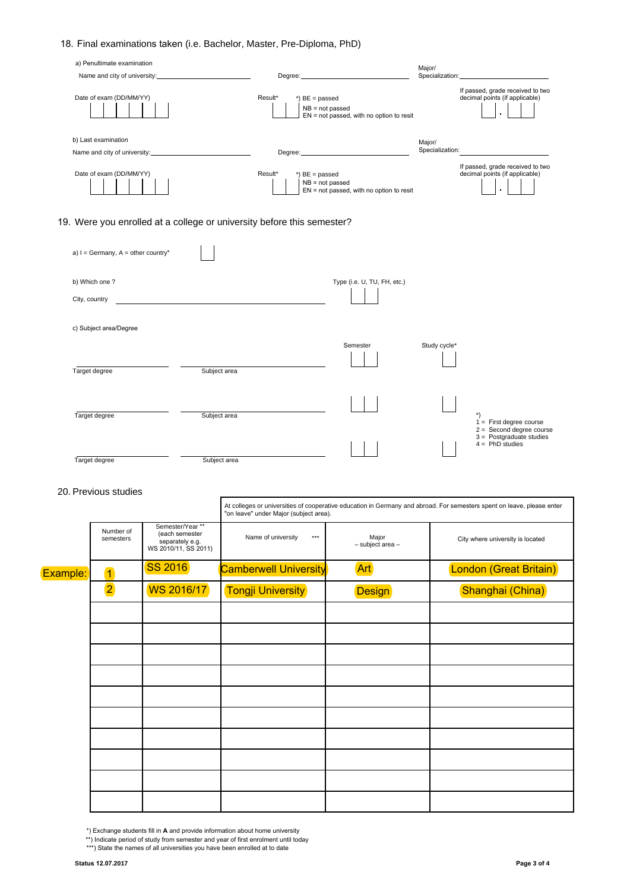# 18. Final examinations taken (i.e. Bachelor, Master, Pre-Diploma, PhD)

| a) Penultimate examination<br>Name and city of university:             |                                                   | Degree: <u>________________________________</u> | Major/                    | Specialization: View Management Control of the Control of the Control of the Control of the Control of the Control of the Control of the Control of the Control of the Control of the Control of the Control of the Control of |
|------------------------------------------------------------------------|---------------------------------------------------|-------------------------------------------------|---------------------------|--------------------------------------------------------------------------------------------------------------------------------------------------------------------------------------------------------------------------------|
| Date of exam (DD/MM/YY)                                                | Result*<br>$*)$ BE = passed<br>$NB = not passed$  | $EN = not passed$ , with no option to resit     |                           | If passed, grade received to two<br>decimal points (if applicable)                                                                                                                                                             |
| b) Last examination                                                    |                                                   |                                                 | Major/<br>Specialization: |                                                                                                                                                                                                                                |
| Date of exam (DD/MM/YY)                                                | Result*<br>$*$ ) BE = passed<br>$NB = not passed$ | EN = not passed, with no option to resit        |                           | If passed, grade received to two<br>decimal points (if applicable)                                                                                                                                                             |
| 19. Were you enrolled at a college or university before this semester? |                                                   |                                                 |                           |                                                                                                                                                                                                                                |
| a) $I = Germany$ , A = other country*                                  |                                                   |                                                 |                           |                                                                                                                                                                                                                                |
| b) Which one?                                                          |                                                   | Type (i.e. U, TU, FH, etc.)                     |                           |                                                                                                                                                                                                                                |
| City, country                                                          |                                                   |                                                 |                           |                                                                                                                                                                                                                                |
| c) Subject area/Degree                                                 |                                                   |                                                 |                           |                                                                                                                                                                                                                                |
|                                                                        |                                                   | Semester                                        | Study cycle*              |                                                                                                                                                                                                                                |
| Target degree<br>Subject area                                          |                                                   |                                                 |                           |                                                                                                                                                                                                                                |

| <b>City, country</b>   |              |          |              |                                                                               |
|------------------------|--------------|----------|--------------|-------------------------------------------------------------------------------|
| c) Subject area/Degree |              |          |              |                                                                               |
| Target degree          | Subject area | Semester | Study cycle* |                                                                               |
| Target degree          | Subject area |          |              | $\star$<br>$=$ First degree course                                            |
| Target degree          | Subject area |          |              | $2 =$ Second degree course<br>$3 =$ Postgraduate studies<br>$4 = PhD$ studies |

### 20. Previous studies

|          |                        |                                                                               | "on leave" under Major (subject area). |                           | At colleges or universities of cooperative education in Germany and abroad. For semesters spent on leave, please enter |
|----------|------------------------|-------------------------------------------------------------------------------|----------------------------------------|---------------------------|------------------------------------------------------------------------------------------------------------------------|
|          | Number of<br>semesters | Semester/Year **<br>(each semester<br>separately e.g.<br>WS 2010/11, SS 2011) | Name of university<br>$***$            | Major<br>- subject area - | City where university is located                                                                                       |
| Example: | $\overline{1}$         | <b>SS 2016</b>                                                                | <b>Camberwell University</b>           | <b>Art</b>                | London (Great Britain)                                                                                                 |
|          | $\overline{2}$         | WS 2016/17                                                                    | <b>Tongji University</b>               | <b>Design</b>             | Shanghai (China)                                                                                                       |
|          |                        |                                                                               |                                        |                           |                                                                                                                        |
|          |                        |                                                                               |                                        |                           |                                                                                                                        |
|          |                        |                                                                               |                                        |                           |                                                                                                                        |
|          |                        |                                                                               |                                        |                           |                                                                                                                        |
|          |                        |                                                                               |                                        |                           |                                                                                                                        |
|          |                        |                                                                               |                                        |                           |                                                                                                                        |
|          |                        |                                                                               |                                        |                           |                                                                                                                        |
|          |                        |                                                                               |                                        |                           |                                                                                                                        |
|          |                        |                                                                               |                                        |                           |                                                                                                                        |
|          |                        |                                                                               |                                        |                           |                                                                                                                        |

\*) Exchange students fill in **A** and provide information about home university

\*\*) Indicate period of study from semester and year of first enrolment until today

\*\*\*) State the names of all universities you have been enrolled at to date